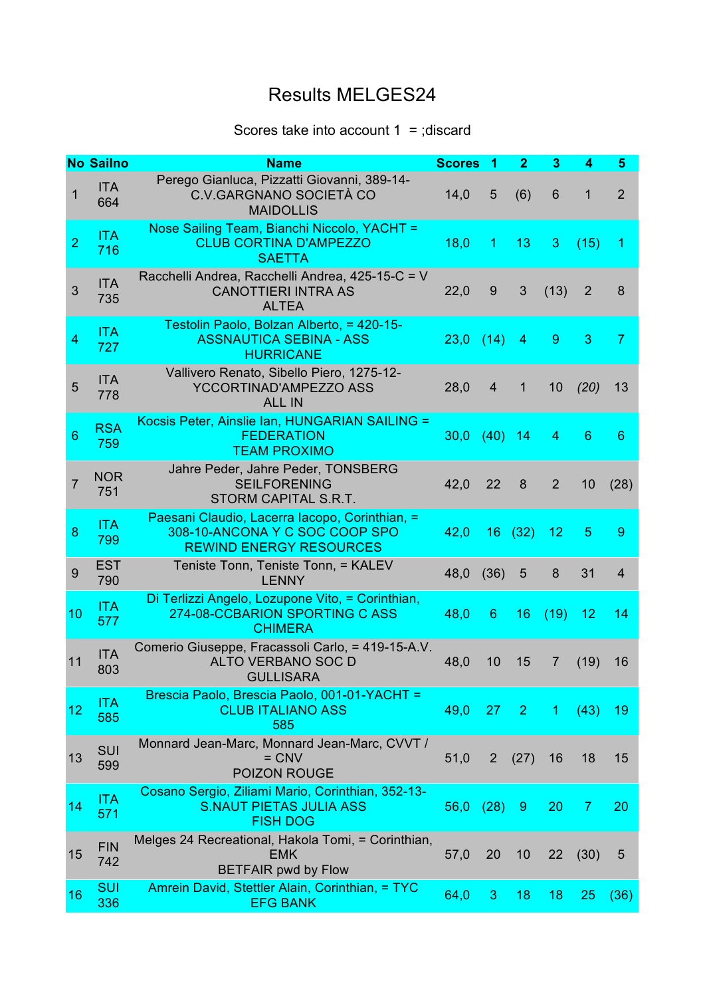## Results MELGES24

## Scores take into account  $1 =$ ; discard

|                | <b>No Sailno</b>  | <b>Name</b>                                                                                                        | <b>Scores</b> | 1              | $\overline{2}$ | 3               | 4    | 5               |
|----------------|-------------------|--------------------------------------------------------------------------------------------------------------------|---------------|----------------|----------------|-----------------|------|-----------------|
| 1              | <b>ITA</b><br>664 | Perego Gianluca, Pizzatti Giovanni, 389-14-<br>C.V.GARGNANO SOCIETÀ CO<br><b>MAIDOLLIS</b>                         | 14,0          | 5              | (6)            | $6\phantom{1}6$ | 1    | 2               |
| $\overline{2}$ | <b>ITA</b><br>716 | Nose Sailing Team, Bianchi Niccolo, YACHT =<br><b>CLUB CORTINA D'AMPEZZO</b><br><b>SAETTA</b>                      | 18,0          | 1              | 13             | 3               | (15) | -1              |
| 3              | <b>ITA</b><br>735 | Racchelli Andrea, Racchelli Andrea, 425-15-C = V<br><b>CANOTTIERI INTRA AS</b><br><b>ALTEA</b>                     | 22,0          | $9$            | 3              | (13)            | 2    | 8               |
| 4              | <b>ITA</b><br>727 | Testolin Paolo, Bolzan Alberto, = 420-15-<br><b>ASSNAUTICA SEBINA - ASS</b><br><b>HURRICANE</b>                    | 23,0          | (14)           | 4              | 9               | 3    | 7               |
| 5              | <b>ITA</b><br>778 | Vallivero Renato, Sibello Piero, 1275-12-<br>YCCORTINAD'AMPEZZO ASS<br><b>ALL IN</b>                               | 28,0          | $\overline{4}$ | $\mathbf{1}$   | 10              | (20) | 13              |
| $6\phantom{1}$ | <b>RSA</b><br>759 | Kocsis Peter, Ainslie Ian, HUNGARIAN SAILING =<br><b>FEDERATION</b><br><b>TEAM PROXIMO</b>                         | 30,0 (40) 14  |                |                | 4               | 6    | $6\phantom{1}6$ |
| $\overline{7}$ | <b>NOR</b><br>751 | Jahre Peder, Jahre Peder, TONSBERG<br><b>SEILFORENING</b><br>STORM CAPITAL S.R.T.                                  | 42,0          | 22             | 8              | $\overline{2}$  | 10   | (28)            |
| 8              | <b>ITA</b><br>799 | Paesani Claudio, Lacerra Iacopo, Corinthian, =<br>308-10-ANCONA Y C SOC COOP SPO<br><b>REWIND ENERGY RESOURCES</b> | 42,0          |                | 16(32)         | 12              | 5    | 9               |
| $9\,$          | <b>EST</b><br>790 | Teniste Tonn, Teniste Tonn, = KALEV<br><b>LENNY</b>                                                                | 48,0          | (36)           | 5              | 8               | 31   | $\overline{4}$  |
| 10             | <b>ITA</b><br>577 | Di Terlizzi Angelo, Lozupone Vito, = Corinthian,<br>274-08-CCBARION SPORTING C ASS<br><b>CHIMERA</b>               | 48,0          | 6              | 16             | $(19)$ 12       |      | 14              |
| 11             | <b>ITA</b><br>803 | Comerio Giuseppe, Fracassoli Carlo, = 419-15-A.V.<br>ALTO VERBANO SOC D<br><b>GULLISARA</b>                        | 48,0          | 10             | 15             | $\overline{7}$  | (19) | 16              |
| 12             | <b>ITA</b><br>585 | Brescia Paolo, Brescia Paolo, 001-01-YACHT =<br><b>CLUB ITALIANO ASS</b><br>585                                    | 49,0          | 27             | $\mathbf{2}$   | $\mathbf{1}$    | (43) | 19              |
| 13             | SUI<br>599        | Monnard Jean-Marc, Monnard Jean-Marc, CVVT /<br>$=$ CNV<br>POIZON ROUGE                                            | 51,0          | $\overline{2}$ | (27)           | 16              | 18   | 15              |
| 14             | <b>ITA</b><br>571 | Cosano Sergio, Ziliami Mario, Corinthian, 352-13-<br><b>S.NAUT PIETAS JULIA ASS</b><br><b>FISH DOG</b>             | 56,0          | (28)           | 9              | 20              | 7    | 20              |
| 15             | <b>FIN</b><br>742 | Melges 24 Recreational, Hakola Tomi, = Corinthian,<br><b>EMK</b><br><b>BETFAIR pwd by Flow</b>                     | 57,0          | 20             | 10             | 22              | (30) | $\sqrt{5}$      |
| 16             | <b>SUI</b><br>336 | Amrein David, Stettler Alain, Corinthian, = TYC<br><b>EFG BANK</b>                                                 | 64,0          | 3              | 18             | 18              | 25   | (36)            |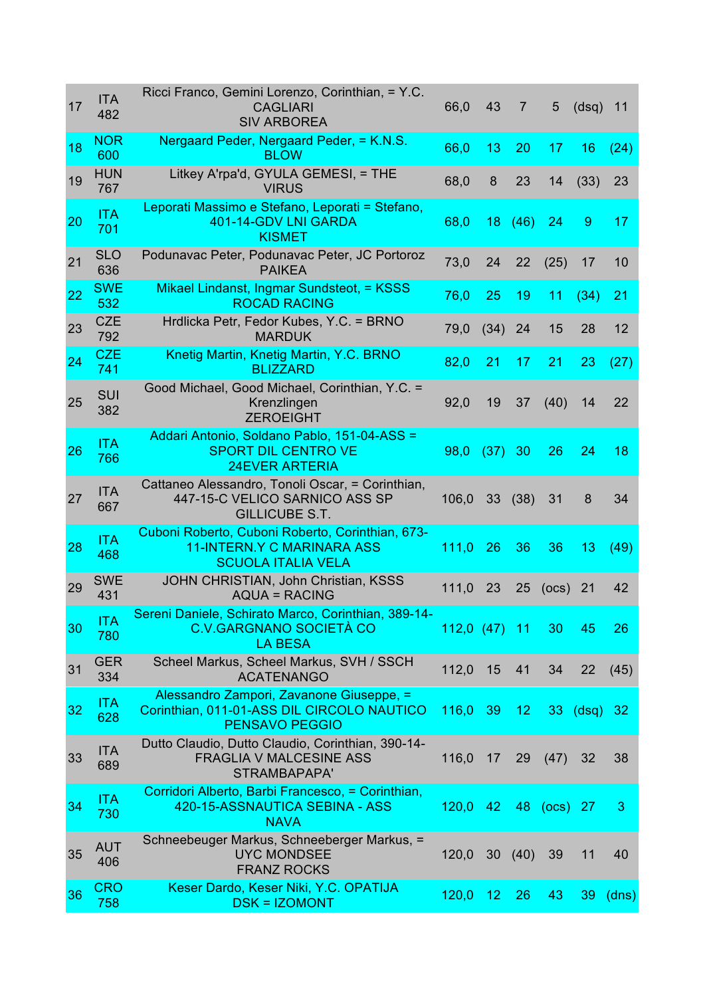| 17 | <b>ITA</b><br>482 | Ricci Franco, Gemini Lorenzo, Corinthian, = Y.C.<br><b>CAGLIARI</b><br><b>SIV ARBOREA</b>                          | 66,0            | 43      | $\overline{7}$ | $5\overline{)}$ | (dsq)      | 11              |
|----|-------------------|--------------------------------------------------------------------------------------------------------------------|-----------------|---------|----------------|-----------------|------------|-----------------|
| 18 | <b>NOR</b><br>600 | Nergaard Peder, Nergaard Peder, = K.N.S.<br><b>BLOW</b>                                                            | 66,0            | 13      | 20             | 17              | 16         | (24)            |
| 19 | <b>HUN</b><br>767 | Litkey A'rpa'd, GYULA GEMESI, = THE<br><b>VIRUS</b>                                                                | 68,0            | 8       | 23             | 14              | (33)       | 23              |
| 20 | <b>ITA</b><br>701 | Leporati Massimo e Stefano, Leporati = Stefano,<br>401-14-GDV LNI GARDA<br><b>KISMET</b>                           | 68,0            | 18      | (46)           | 24              | 9          | 17 <sub>2</sub> |
| 21 | <b>SLO</b><br>636 | Podunavac Peter, Podunavac Peter, JC Portoroz<br><b>PAIKEA</b>                                                     | 73,0            | 24      | 22             | (25)            | 17         | 10              |
| 22 | <b>SWE</b><br>532 | Mikael Lindanst, Ingmar Sundsteot, = KSSS<br><b>ROCAD RACING</b>                                                   | 76,0            | 25      | 19             | 11              | (34)       | 21              |
| 23 | <b>CZE</b><br>792 | Hrdlicka Petr, Fedor Kubes, Y.C. = BRNO<br><b>MARDUK</b>                                                           | 79,0            | (34)    | 24             | 15              | 28         | 12              |
| 24 | <b>CZE</b><br>741 | Knetig Martin, Knetig Martin, Y.C. BRNO<br><b>BLIZZARD</b>                                                         | 82,0            | 21      | 17             | 21              | 23         | (27)            |
| 25 | SUI<br>382        | Good Michael, Good Michael, Corinthian, Y.C. =<br>Krenzlingen<br><b>ZEROEIGHT</b>                                  | 92,0            | 19      | 37             | (40)            | 14         | 22              |
| 26 | <b>ITA</b><br>766 | Addari Antonio, Soldano Pablo, 151-04-ASS =<br><b>SPORT DIL CENTRO VE</b><br><b>24EVER ARTERIA</b>                 | 98,0            | (37) 30 |                | 26              | 24         | 18              |
| 27 | <b>ITA</b><br>667 | Cattaneo Alessandro, Tonoli Oscar, = Corinthian,<br>447-15-C VELICO SARNICO ASS SP<br><b>GILLICUBE S.T.</b>        | 106,0           | 33      | (38)           | 31              | 8          | 34              |
| 28 | <b>ITA</b><br>468 | Cuboni Roberto, Cuboni Roberto, Corinthian, 673-<br><b>11-INTERN.Y C MARINARA ASS</b><br><b>SCUOLA ITALIA VELA</b> | 111.0           | 26      | 36             | 36              | 13         | (49)            |
| 29 | <b>SWE</b><br>431 | JOHN CHRISTIAN, John Christian, KSSS<br><b>AQUA = RACING</b>                                                       | 111,0           | -23     |                | 25 (ocs) 21     |            | 42              |
| 30 | <b>ITA</b><br>780 | Sereni Daniele, Schirato Marco, Corinthian, 389-14-<br>C.V.GARGNANO SOCIETÀ CO<br><b>LA BESA</b>                   | $112,0$ (47) 11 |         |                | 30              | 45         | 26              |
| 31 | <b>GER</b><br>334 | Scheel Markus, Scheel Markus, SVH / SSCH<br><b>ACATENANGO</b>                                                      | 112,0 15        |         | 41             | 34              | 22         | (45)            |
| 32 | ITA<br>628        | Alessandro Zampori, Zavanone Giuseppe, =<br>Corinthian, 011-01-ASS DIL CIRCOLO NAUTICO<br><b>PENSAVO PEGGIO</b>    | 116,0 39        |         | 12             |                 | $33$ (dsq) | 32 <sub>2</sub> |
| 33 | <b>ITA</b><br>689 | Dutto Claudio, Dutto Claudio, Corinthian, 390-14-<br><b>FRAGLIA V MALCESINE ASS</b><br>STRAMBAPAPA'                | 116,0           | 17      | 29             | (47)            | 32         | 38              |
| 34 | <b>ITA</b><br>730 | Corridori Alberto, Barbi Francesco, = Corinthian,<br>420-15-ASSNAUTICA SEBINA - ASS<br><b>NAVA</b>                 | $120,0$ 42      |         |                | 48 (ocs) 27     |            | 3               |
| 35 | <b>AUT</b><br>406 | Schneebeuger Markus, Schneeberger Markus, =<br><b>UYC MONDSEE</b><br><b>FRANZ ROCKS</b>                            | 120,0           |         | 30(40)         | 39              | 11         | 40              |
| 36 | <b>CRO</b><br>758 | Keser Dardo, Keser Niki, Y.C. OPATIJA<br><b>DSK = IZOMONT</b>                                                      | 120,0           | $-12$   | 26             | 43              | 39         | (dns)           |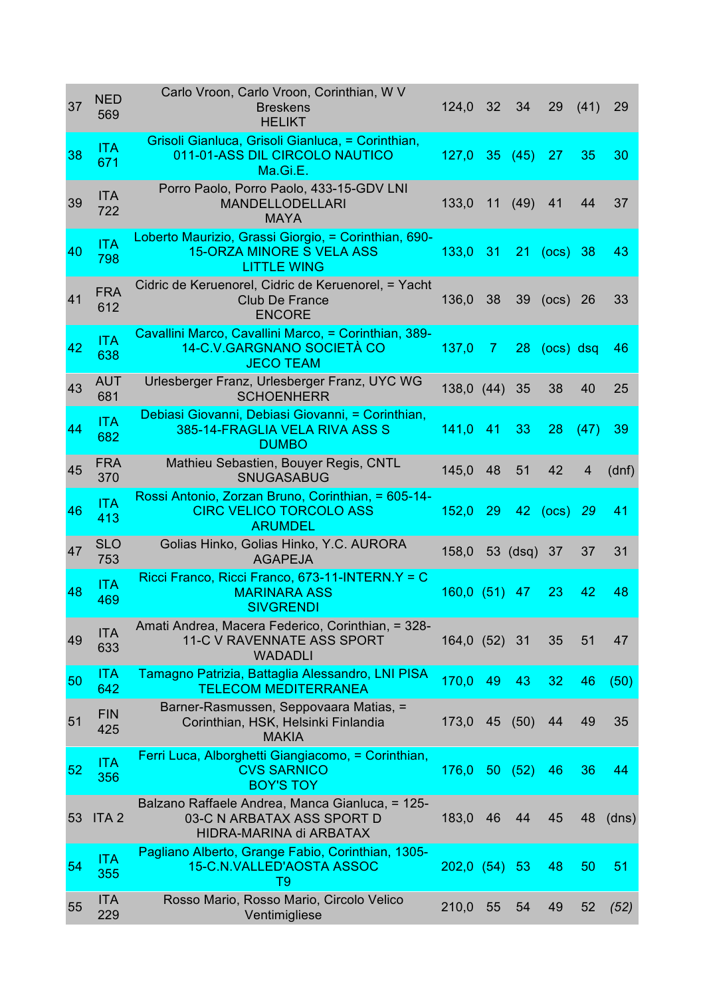| 37 | <b>NED</b><br>569 | Carlo Vroon, Carlo Vroon, Corinthian, W V<br><b>Breskens</b><br><b>HELIKT</b>                                  | 124,0 32         |          | 34       | 29           | (41) | 29    |
|----|-------------------|----------------------------------------------------------------------------------------------------------------|------------------|----------|----------|--------------|------|-------|
| 38 | <b>ITA</b><br>671 | Grisoli Gianluca, Grisoli Gianluca, = Corinthian,<br>011-01-ASS DIL CIRCOLO NAUTICO<br>Ma.Gi.E.                | 127,0 35 (45) 27 |          |          |              | 35   | 30    |
| 39 | <b>ITA</b><br>722 | Porro Paolo, Porro Paolo, 433-15-GDV LNI<br><b>MANDELLODELLARI</b><br><b>MAYA</b>                              | 133,0            | 11       | (49)     | 41           | 44   | 37    |
| 40 | <b>ITA</b><br>798 | Loberto Maurizio, Grassi Giorgio, = Corinthian, 690-<br><b>15-ORZA MINORE S VELA ASS</b><br><b>LITTLE WING</b> | 133,0 31         |          | 21       | (ocs) 38     |      | 43    |
| 41 | <b>FRA</b><br>612 | Cidric de Keruenorel, Cidric de Keruenorel, = Yacht<br><b>Club De France</b><br><b>ENCORE</b>                  | 136,0            | 38       |          | 39 (ocs) 26  |      | 33    |
| 42 | <b>ITA</b><br>638 | Cavallini Marco, Cavallini Marco, = Corinthian, 389-<br>14-C.V.GARGNANO SOCIETÀ CO<br><b>JECO TEAM</b>         | 137,0            | <b>7</b> |          | 28 (ocs) dsg |      | 46    |
| 43 | <b>AUT</b><br>681 | Urlesberger Franz, Urlesberger Franz, UYC WG<br><b>SCHOENHERR</b>                                              | 138,0 (44) 35    |          |          | 38           | 40   | 25    |
| 44 | <b>ITA</b><br>682 | Debiasi Giovanni, Debiasi Giovanni, = Corinthian,<br>385-14-FRAGLIA VELA RIVA ASS S<br><b>DUMBO</b>            | 141,0            | 41       | 33       | 28           | (47) | 39    |
| 45 | <b>FRA</b><br>370 | Mathieu Sebastien, Bouyer Regis, CNTL<br><b>SNUGASABUG</b>                                                     | 145,0            | 48       | 51       | 42           | 4    | (dnf) |
| 46 | <b>ITA</b><br>413 | Rossi Antonio, Zorzan Bruno, Corinthian, = 605-14-<br><b>CIRC VELICO TORCOLO ASS</b><br><b>ARUMDEL</b>         | 152,0            | 29       |          | 42 (ocs)     | 29   | 41    |
| 47 | <b>SLO</b><br>753 | Golias Hinko, Golias Hinko, Y.C. AURORA<br><b>AGAPEJA</b>                                                      | 158,0            |          | 53 (dsq) | 37           | 37   | 31    |
| 48 | <b>ITA</b><br>469 | Ricci Franco, Ricci Franco, 673-11-INTERN.Y = C<br><b>MARINARA ASS</b><br><b>SIVGRENDI</b>                     | 160,0(51)        |          | 47       | 23           | 42   | 48    |
| 49 | <b>ITA</b><br>633 | Amati Andrea, Macera Federico, Corinthian, = 328-<br>11-C V RAVENNATE ASS SPORT<br><b>WADADLI</b>              | 164,0 (52) 31    |          |          | 35           | 51   | 47    |
| 50 | <b>ITA</b><br>642 | Tamagno Patrizia, Battaglia Alessandro, LNI PISA<br><b>TELECOM MEDITERRANEA</b>                                | 170,0            | 49       | 43       | 32           | 46   | (50)  |
| 51 | <b>FIN</b><br>425 | Barner-Rasmussen, Seppovaara Matias, =<br>Corinthian, HSK, Helsinki Finlandia<br><b>MAKIA</b>                  | 173,0            | 45       | (50)     | 44           | 49   | 35    |
| 52 | <b>ITA</b><br>356 | Ferri Luca, Alborghetti Giangiacomo, = Corinthian,<br><b>CVS SARNICO</b><br><b>BOY'S TOY</b>                   | 176,0            | 50       | (52)     | 46           | 36   | 44    |
| 53 | ITA <sub>2</sub>  | Balzano Raffaele Andrea, Manca Gianluca, = 125-<br>03-C N ARBATAX ASS SPORT D<br>HIDRA-MARINA di ARBATAX       | 183,0            | 46       | 44       | 45           | 48   | (dns) |
| 54 | <b>ITA</b><br>355 | Pagliano Alberto, Grange Fabio, Corinthian, 1305-<br>15-C.N.VALLED'AOSTA ASSOC<br>T <sub>9</sub>               | 202,0(54)        |          | 53       | 48           | 50   | 51    |
| 55 | <b>ITA</b><br>229 | Rosso Mario, Rosso Mario, Circolo Velico<br>Ventimigliese                                                      | 210,0            | 55       | 54       | 49           | 52   | (52)  |